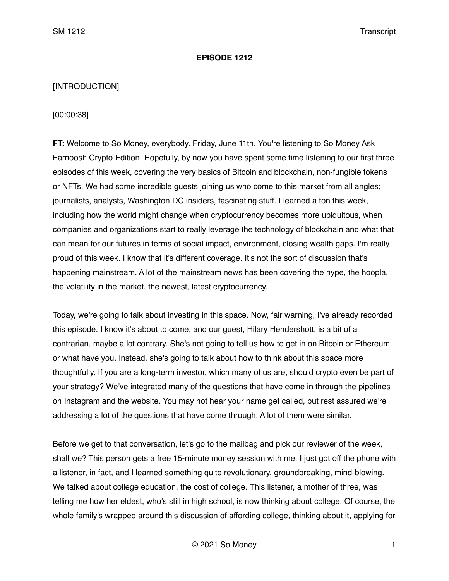### **EPISODE 1212**

# [INTRODUCTION]

# [00:00:38]

**FT:** Welcome to So Money, everybody. Friday, June 11th. You're listening to So Money Ask Farnoosh Crypto Edition. Hopefully, by now you have spent some time listening to our first three episodes of this week, covering the very basics of Bitcoin and blockchain, non-fungible tokens or NFTs. We had some incredible guests joining us who come to this market from all angles; journalists, analysts, Washington DC insiders, fascinating stuff. I learned a ton this week, including how the world might change when cryptocurrency becomes more ubiquitous, when companies and organizations start to really leverage the technology of blockchain and what that can mean for our futures in terms of social impact, environment, closing wealth gaps. I'm really proud of this week. I know that it's different coverage. It's not the sort of discussion that's happening mainstream. A lot of the mainstream news has been covering the hype, the hoopla, the volatility in the market, the newest, latest cryptocurrency.

Today, we're going to talk about investing in this space. Now, fair warning, I've already recorded this episode. I know it's about to come, and our guest, Hilary Hendershott, is a bit of a contrarian, maybe a lot contrary. She's not going to tell us how to get in on Bitcoin or Ethereum or what have you. Instead, she's going to talk about how to think about this space more thoughtfully. If you are a long-term investor, which many of us are, should crypto even be part of your strategy? We've integrated many of the questions that have come in through the pipelines on Instagram and the website. You may not hear your name get called, but rest assured we're addressing a lot of the questions that have come through. A lot of them were similar.

Before we get to that conversation, let's go to the mailbag and pick our reviewer of the week, shall we? This person gets a free 15-minute money session with me. I just got off the phone with a listener, in fact, and I learned something quite revolutionary, groundbreaking, mind-blowing. We talked about college education, the cost of college. This listener, a mother of three, was telling me how her eldest, who's still in high school, is now thinking about college. Of course, the whole family's wrapped around this discussion of affording college, thinking about it, applying for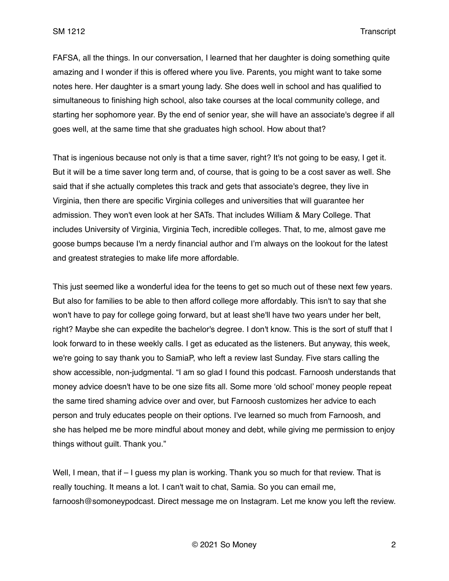FAFSA, all the things. In our conversation, I learned that her daughter is doing something quite amazing and I wonder if this is offered where you live. Parents, you might want to take some notes here. Her daughter is a smart young lady. She does well in school and has qualified to simultaneous to finishing high school, also take courses at the local community college, and starting her sophomore year. By the end of senior year, she will have an associate's degree if all goes well, at the same time that she graduates high school. How about that?

That is ingenious because not only is that a time saver, right? It's not going to be easy, I get it. But it will be a time saver long term and, of course, that is going to be a cost saver as well. She said that if she actually completes this track and gets that associate's degree, they live in Virginia, then there are specific Virginia colleges and universities that will guarantee her admission. They won't even look at her SATs. That includes William & Mary College. That includes University of Virginia, Virginia Tech, incredible colleges. That, to me, almost gave me goose bumps because I'm a nerdy financial author and I'm always on the lookout for the latest and greatest strategies to make life more affordable.

This just seemed like a wonderful idea for the teens to get so much out of these next few years. But also for families to be able to then afford college more affordably. This isn't to say that she won't have to pay for college going forward, but at least she'll have two years under her belt, right? Maybe she can expedite the bachelor's degree. I don't know. This is the sort of stuff that I look forward to in these weekly calls. I get as educated as the listeners. But anyway, this week, we're going to say thank you to SamiaP, who left a review last Sunday. Five stars calling the show accessible, non-judgmental. "I am so glad I found this podcast. Farnoosh understands that money advice doesn't have to be one size fits all. Some more 'old school' money people repeat the same tired shaming advice over and over, but Farnoosh customizes her advice to each person and truly educates people on their options. I've learned so much from Farnoosh, and she has helped me be more mindful about money and debt, while giving me permission to enjoy things without guilt. Thank you."

Well, I mean, that if – I guess my plan is working. Thank you so much for that review. That is really touching. It means a lot. I can't wait to chat, Samia. So you can email me, farnoosh@somoneypodcast. Direct message me on Instagram. Let me know you left the review.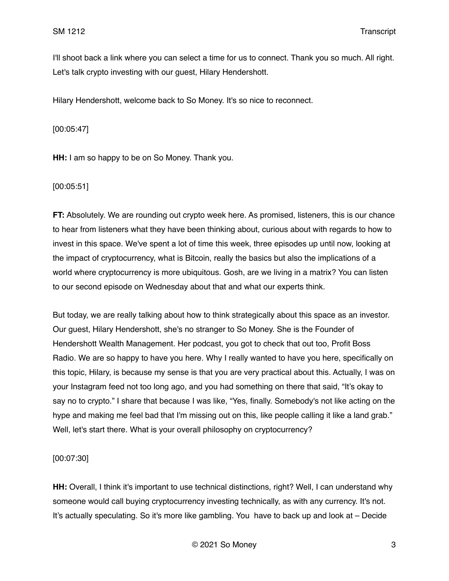I'll shoot back a link where you can select a time for us to connect. Thank you so much. All right. Let's talk crypto investing with our guest, Hilary Hendershott.

Hilary Hendershott, welcome back to So Money. It's so nice to reconnect.

[00:05:47]

**HH:** I am so happy to be on So Money. Thank you.

[00:05:51]

**FT:** Absolutely. We are rounding out crypto week here. As promised, listeners, this is our chance to hear from listeners what they have been thinking about, curious about with regards to how to invest in this space. We've spent a lot of time this week, three episodes up until now, looking at the impact of cryptocurrency, what is Bitcoin, really the basics but also the implications of a world where cryptocurrency is more ubiquitous. Gosh, are we living in a matrix? You can listen to our second episode on Wednesday about that and what our experts think.

But today, we are really talking about how to think strategically about this space as an investor. Our guest, Hilary Hendershott, she's no stranger to So Money. She is the Founder of Hendershott Wealth Management. Her podcast, you got to check that out too, Profit Boss Radio. We are so happy to have you here. Why I really wanted to have you here, specifically on this topic, Hilary, is because my sense is that you are very practical about this. Actually, I was on your Instagram feed not too long ago, and you had something on there that said, "It's okay to say no to crypto." I share that because I was like, "Yes, finally. Somebody's not like acting on the hype and making me feel bad that I'm missing out on this, like people calling it like a land grab." Well, let's start there. What is your overall philosophy on cryptocurrency?

[00:07:30]

**HH:** Overall, I think it's important to use technical distinctions, right? Well, I can understand why someone would call buying cryptocurrency investing technically, as with any currency. It's not. It's actually speculating. So it's more like gambling. You have to back up and look at – Decide

© 2021 So Money 3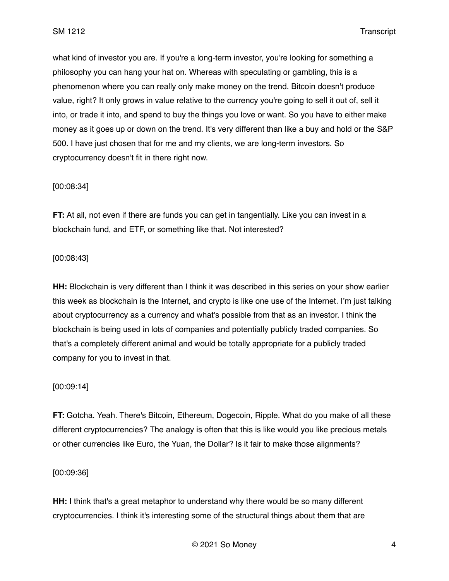what kind of investor you are. If you're a long-term investor, you're looking for something a philosophy you can hang your hat on. Whereas with speculating or gambling, this is a phenomenon where you can really only make money on the trend. Bitcoin doesn't produce value, right? It only grows in value relative to the currency you're going to sell it out of, sell it into, or trade it into, and spend to buy the things you love or want. So you have to either make money as it goes up or down on the trend. It's very different than like a buy and hold or the S&P 500. I have just chosen that for me and my clients, we are long-term investors. So cryptocurrency doesn't fit in there right now.

#### [00:08:34]

**FT:** At all, not even if there are funds you can get in tangentially. Like you can invest in a blockchain fund, and ETF, or something like that. Not interested?

### [00:08:43]

**HH:** Blockchain is very different than I think it was described in this series on your show earlier this week as blockchain is the Internet, and crypto is like one use of the Internet. I'm just talking about cryptocurrency as a currency and what's possible from that as an investor. I think the blockchain is being used in lots of companies and potentially publicly traded companies. So that's a completely different animal and would be totally appropriate for a publicly traded company for you to invest in that.

#### [00:09:14]

**FT:** Gotcha. Yeah. There's Bitcoin, Ethereum, Dogecoin, Ripple. What do you make of all these different cryptocurrencies? The analogy is often that this is like would you like precious metals or other currencies like Euro, the Yuan, the Dollar? Is it fair to make those alignments?

#### [00:09:36]

**HH:** I think that's a great metaphor to understand why there would be so many different cryptocurrencies. I think it's interesting some of the structural things about them that are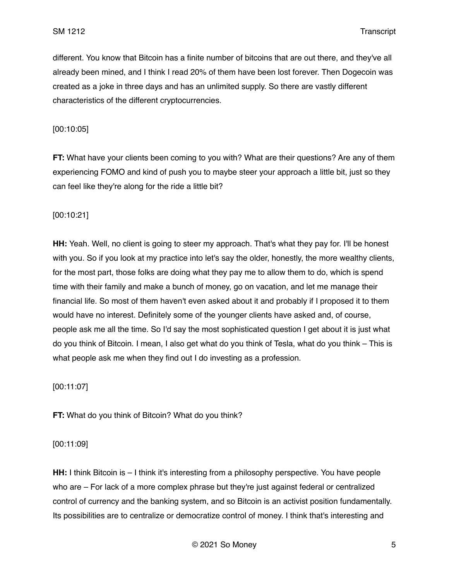different. You know that Bitcoin has a finite number of bitcoins that are out there, and they've all already been mined, and I think I read 20% of them have been lost forever. Then Dogecoin was created as a joke in three days and has an unlimited supply. So there are vastly different characteristics of the different cryptocurrencies.

[00:10:05]

**FT:** What have your clients been coming to you with? What are their questions? Are any of them experiencing FOMO and kind of push you to maybe steer your approach a little bit, just so they can feel like they're along for the ride a little bit?

[00:10:21]

**HH:** Yeah. Well, no client is going to steer my approach. That's what they pay for. I'll be honest with you. So if you look at my practice into let's say the older, honestly, the more wealthy clients, for the most part, those folks are doing what they pay me to allow them to do, which is spend time with their family and make a bunch of money, go on vacation, and let me manage their financial life. So most of them haven't even asked about it and probably if I proposed it to them would have no interest. Definitely some of the younger clients have asked and, of course, people ask me all the time. So I'd say the most sophisticated question I get about it is just what do you think of Bitcoin. I mean, I also get what do you think of Tesla, what do you think – This is what people ask me when they find out I do investing as a profession.

[00:11:07]

**FT:** What do you think of Bitcoin? What do you think?

[00:11:09]

**HH:** I think Bitcoin is – I think it's interesting from a philosophy perspective. You have people who are – For lack of a more complex phrase but they're just against federal or centralized control of currency and the banking system, and so Bitcoin is an activist position fundamentally. Its possibilities are to centralize or democratize control of money. I think that's interesting and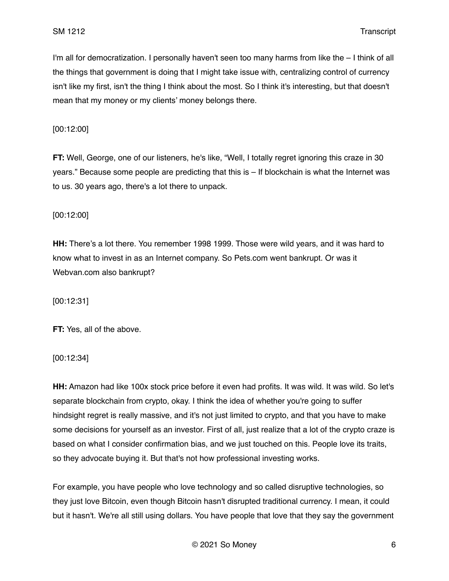I'm all for democratization. I personally haven't seen too many harms from like the – I think of all the things that government is doing that I might take issue with, centralizing control of currency isn't like my first, isn't the thing I think about the most. So I think it's interesting, but that doesn't mean that my money or my clients' money belongs there.

[00:12:00]

**FT:** Well, George, one of our listeners, he's like, "Well, I totally regret ignoring this craze in 30 years." Because some people are predicting that this is – If blockchain is what the Internet was to us. 30 years ago, there's a lot there to unpack.

[00:12:00]

**HH:** There's a lot there. You remember 1998 1999. Those were wild years, and it was hard to know what to invest in as an Internet company. So Pets.com went bankrupt. Or was it Webvan.com also bankrupt?

[00:12:31]

**FT:** Yes, all of the above.

[00:12:34]

**HH:** Amazon had like 100x stock price before it even had profits. It was wild. It was wild. So let's separate blockchain from crypto, okay. I think the idea of whether you're going to suffer hindsight regret is really massive, and it's not just limited to crypto, and that you have to make some decisions for yourself as an investor. First of all, just realize that a lot of the crypto craze is based on what I consider confirmation bias, and we just touched on this. People love its traits, so they advocate buying it. But that's not how professional investing works.

For example, you have people who love technology and so called disruptive technologies, so they just love Bitcoin, even though Bitcoin hasn't disrupted traditional currency. I mean, it could but it hasn't. We're all still using dollars. You have people that love that they say the government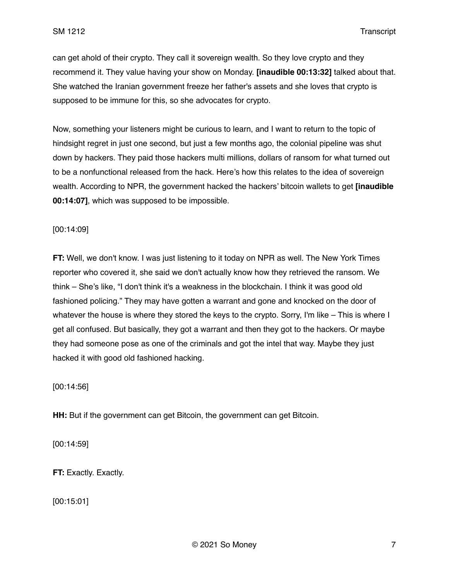can get ahold of their crypto. They call it sovereign wealth. So they love crypto and they recommend it. They value having your show on Monday. **[inaudible 00:13:32]** talked about that. She watched the Iranian government freeze her father's assets and she loves that crypto is supposed to be immune for this, so she advocates for crypto.

Now, something your listeners might be curious to learn, and I want to return to the topic of hindsight regret in just one second, but just a few months ago, the colonial pipeline was shut down by hackers. They paid those hackers multi millions, dollars of ransom for what turned out to be a nonfunctional released from the hack. Here's how this relates to the idea of sovereign wealth. According to NPR, the government hacked the hackers' bitcoin wallets to get **[inaudible 00:14:07]**, which was supposed to be impossible.

#### [00:14:09]

**FT:** Well, we don't know. I was just listening to it today on NPR as well. The New York Times reporter who covered it, she said we don't actually know how they retrieved the ransom. We think – She's like, "I don't think it's a weakness in the blockchain. I think it was good old fashioned policing." They may have gotten a warrant and gone and knocked on the door of whatever the house is where they stored the keys to the crypto. Sorry, I'm like – This is where I get all confused. But basically, they got a warrant and then they got to the hackers. Or maybe they had someone pose as one of the criminals and got the intel that way. Maybe they just hacked it with good old fashioned hacking.

[00:14:56]

**HH:** But if the government can get Bitcoin, the government can get Bitcoin.

[00:14:59]

**FT: Exactly. Exactly.** 

[00:15:01]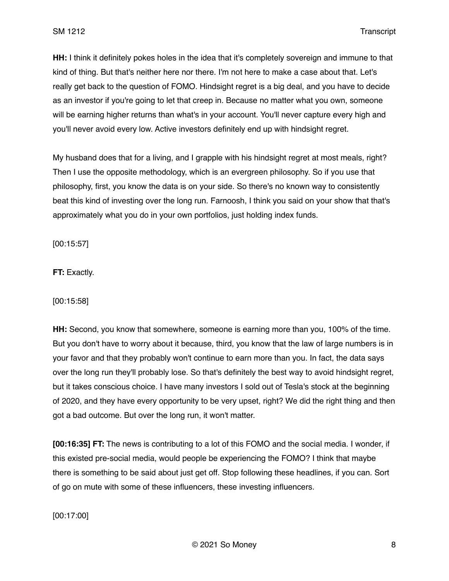**HH:** I think it definitely pokes holes in the idea that it's completely sovereign and immune to that kind of thing. But that's neither here nor there. I'm not here to make a case about that. Let's really get back to the question of FOMO. Hindsight regret is a big deal, and you have to decide as an investor if you're going to let that creep in. Because no matter what you own, someone will be earning higher returns than what's in your account. You'll never capture every high and you'll never avoid every low. Active investors definitely end up with hindsight regret.

My husband does that for a living, and I grapple with his hindsight regret at most meals, right? Then I use the opposite methodology, which is an evergreen philosophy. So if you use that philosophy, first, you know the data is on your side. So there's no known way to consistently beat this kind of investing over the long run. Farnoosh, I think you said on your show that that's approximately what you do in your own portfolios, just holding index funds.

[00:15:57]

**FT:** Exactly.

[00:15:58]

**HH:** Second, you know that somewhere, someone is earning more than you, 100% of the time. But you don't have to worry about it because, third, you know that the law of large numbers is in your favor and that they probably won't continue to earn more than you. In fact, the data says over the long run they'll probably lose. So that's definitely the best way to avoid hindsight regret, but it takes conscious choice. I have many investors I sold out of Tesla's stock at the beginning of 2020, and they have every opportunity to be very upset, right? We did the right thing and then got a bad outcome. But over the long run, it won't matter.

**[00:16:35] FT:** The news is contributing to a lot of this FOMO and the social media. I wonder, if this existed pre-social media, would people be experiencing the FOMO? I think that maybe there is something to be said about just get off. Stop following these headlines, if you can. Sort of go on mute with some of these influencers, these investing influencers.

[00:17:00]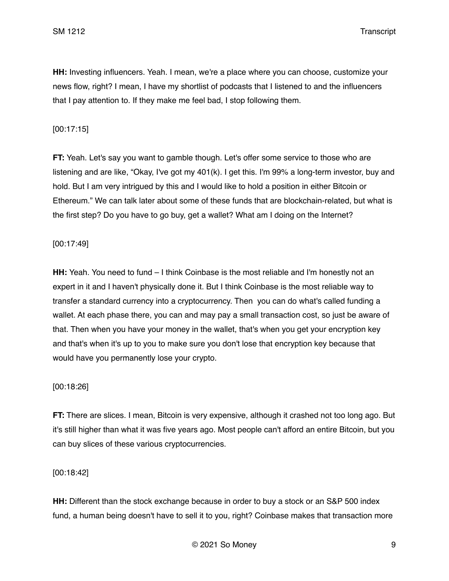**HH:** Investing influencers. Yeah. I mean, we're a place where you can choose, customize your news flow, right? I mean, I have my shortlist of podcasts that I listened to and the influencers that I pay attention to. If they make me feel bad, I stop following them.

### [00:17:15]

**FT:** Yeah. Let's say you want to gamble though. Let's offer some service to those who are listening and are like, "Okay, I've got my 401(k). I get this. I'm 99% a long-term investor, buy and hold. But I am very intrigued by this and I would like to hold a position in either Bitcoin or Ethereum." We can talk later about some of these funds that are blockchain-related, but what is the first step? Do you have to go buy, get a wallet? What am I doing on the Internet?

#### [00:17:49]

**HH:** Yeah. You need to fund – I think Coinbase is the most reliable and I'm honestly not an expert in it and I haven't physically done it. But I think Coinbase is the most reliable way to transfer a standard currency into a cryptocurrency. Then you can do what's called funding a wallet. At each phase there, you can and may pay a small transaction cost, so just be aware of that. Then when you have your money in the wallet, that's when you get your encryption key and that's when it's up to you to make sure you don't lose that encryption key because that would have you permanently lose your crypto.

#### [00:18:26]

**FT:** There are slices. I mean, Bitcoin is very expensive, although it crashed not too long ago. But it's still higher than what it was five years ago. Most people can't afford an entire Bitcoin, but you can buy slices of these various cryptocurrencies.

[00:18:42]

**HH:** Different than the stock exchange because in order to buy a stock or an S&P 500 index fund, a human being doesn't have to sell it to you, right? Coinbase makes that transaction more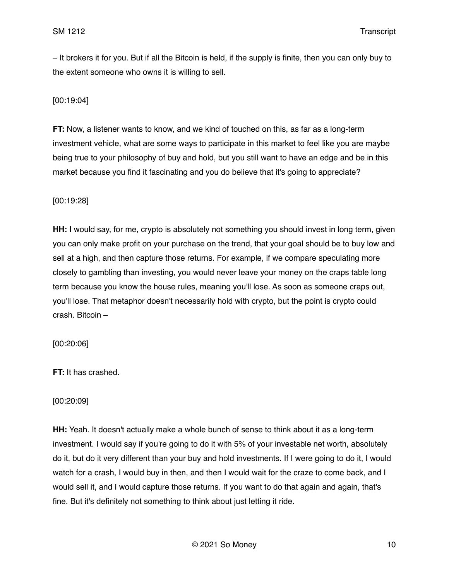– It brokers it for you. But if all the Bitcoin is held, if the supply is finite, then you can only buy to the extent someone who owns it is willing to sell.

[00:19:04]

**FT:** Now, a listener wants to know, and we kind of touched on this, as far as a long-term investment vehicle, what are some ways to participate in this market to feel like you are maybe being true to your philosophy of buy and hold, but you still want to have an edge and be in this market because you find it fascinating and you do believe that it's going to appreciate?

[00:19:28]

**HH:** I would say, for me, crypto is absolutely not something you should invest in long term, given you can only make profit on your purchase on the trend, that your goal should be to buy low and sell at a high, and then capture those returns. For example, if we compare speculating more closely to gambling than investing, you would never leave your money on the craps table long term because you know the house rules, meaning you'll lose. As soon as someone craps out, you'll lose. That metaphor doesn't necessarily hold with crypto, but the point is crypto could crash. Bitcoin –

[00:20:06]

**FT:** It has crashed.

[00:20:09]

**HH:** Yeah. It doesn't actually make a whole bunch of sense to think about it as a long-term investment. I would say if you're going to do it with 5% of your investable net worth, absolutely do it, but do it very different than your buy and hold investments. If I were going to do it, I would watch for a crash, I would buy in then, and then I would wait for the craze to come back, and I would sell it, and I would capture those returns. If you want to do that again and again, that's fine. But it's definitely not something to think about just letting it ride.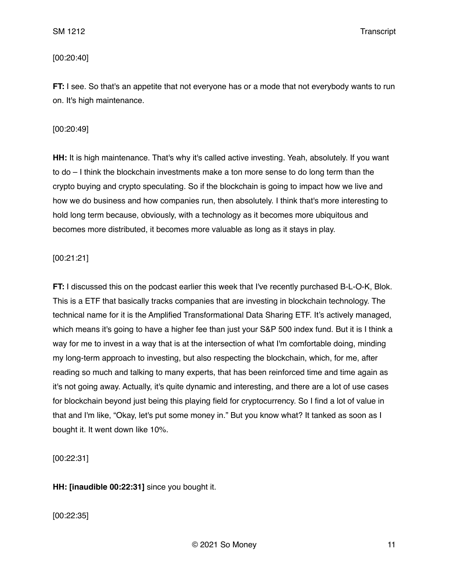## [00:20:40]

**FT:** I see. So that's an appetite that not everyone has or a mode that not everybody wants to run on. It's high maintenance.

### [00:20:49]

**HH:** It is high maintenance. That's why it's called active investing. Yeah, absolutely. If you want to do – I think the blockchain investments make a ton more sense to do long term than the crypto buying and crypto speculating. So if the blockchain is going to impact how we live and how we do business and how companies run, then absolutely. I think that's more interesting to hold long term because, obviously, with a technology as it becomes more ubiquitous and becomes more distributed, it becomes more valuable as long as it stays in play.

## [00:21:21]

**FT:** I discussed this on the podcast earlier this week that I've recently purchased B-L-O-K, Blok. This is a ETF that basically tracks companies that are investing in blockchain technology. The technical name for it is the Amplified Transformational Data Sharing ETF. It's actively managed, which means it's going to have a higher fee than just your S&P 500 index fund. But it is I think a way for me to invest in a way that is at the intersection of what I'm comfortable doing, minding my long-term approach to investing, but also respecting the blockchain, which, for me, after reading so much and talking to many experts, that has been reinforced time and time again as it's not going away. Actually, it's quite dynamic and interesting, and there are a lot of use cases for blockchain beyond just being this playing field for cryptocurrency. So I find a lot of value in that and I'm like, "Okay, let's put some money in." But you know what? It tanked as soon as I bought it. It went down like 10%.

[00:22:31]

**HH: [inaudible 00:22:31]** since you bought it.

[00:22:35]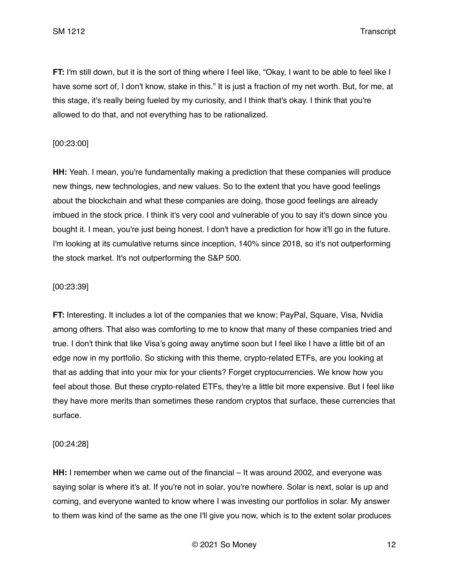**FT:** I'm still down, but it is the sort of thing where I feel like, "Okay, I want to be able to feel like I have some sort of, I don't know, stake in this." It is just a fraction of my net worth. But, for me, at this stage, it's really being fueled by my curiosity, and I think that's okay. I think that you're allowed to do that, and not everything has to be rationalized.

### [00:23:00]

**HH:** Yeah. I mean, you're fundamentally making a prediction that these companies will produce new things, new technologies, and new values. So to the extent that you have good feelings about the blockchain and what these companies are doing, those good feelings are already imbued in the stock price. I think it's very cool and vulnerable of you to say it's down since you bought it. I mean, you're just being honest. I don't have a prediction for how it'll go in the future. I'm looking at its cumulative returns since inception, 140% since 2018, so it's not outperforming the stock market. It's not outperforming the S&P 500.

### [00:23:39]

**FT:** Interesting. It includes a lot of the companies that we know; PayPal, Square, Visa, Nvidia among others. That also was comforting to me to know that many of these companies tried and true. I don't think that like Visa's going away anytime soon but I feel like I have a little bit of an edge now in my portfolio. So sticking with this theme, crypto-related ETFs, are you looking at that as adding that into your mix for your clients? Forget cryptocurrencies. We know how you feel about those. But these crypto-related ETFs, they're a little bit more expensive. But I feel like they have more merits than sometimes these random cryptos that surface, these currencies that surface.

[00:24:28]

**HH:** I remember when we came out of the financial – It was around 2002, and everyone was saying solar is where it's at. If you're not in solar, you're nowhere. Solar is next, solar is up and coming, and everyone wanted to know where I was investing our portfolios in solar. My answer to them was kind of the same as the one I'll give you now, which is to the extent solar produces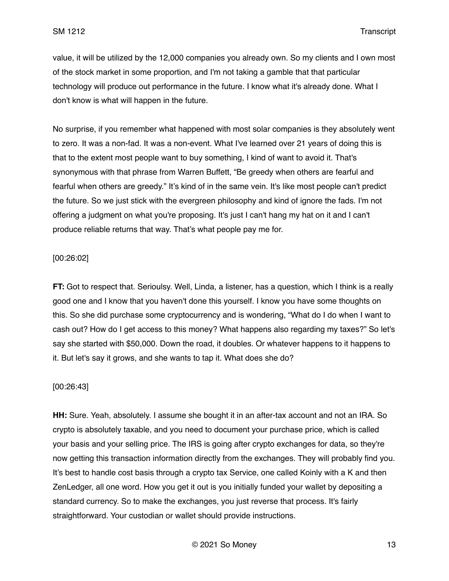value, it will be utilized by the 12,000 companies you already own. So my clients and I own most of the stock market in some proportion, and I'm not taking a gamble that that particular technology will produce out performance in the future. I know what it's already done. What I don't know is what will happen in the future.

No surprise, if you remember what happened with most solar companies is they absolutely went to zero. It was a non-fad. It was a non-event. What I've learned over 21 years of doing this is that to the extent most people want to buy something, I kind of want to avoid it. That's synonymous with that phrase from Warren Buffett, "Be greedy when others are fearful and fearful when others are greedy." It's kind of in the same vein. It's like most people can't predict the future. So we just stick with the evergreen philosophy and kind of ignore the fads. I'm not offering a judgment on what you're proposing. It's just I can't hang my hat on it and I can't produce reliable returns that way. That's what people pay me for.

### [00:26:02]

**FT:** Got to respect that. Serioulsy. Well, Linda, a listener, has a question, which I think is a really good one and I know that you haven't done this yourself. I know you have some thoughts on this. So she did purchase some cryptocurrency and is wondering, "What do I do when I want to cash out? How do I get access to this money? What happens also regarding my taxes?" So let's say she started with \$50,000. Down the road, it doubles. Or whatever happens to it happens to it. But let's say it grows, and she wants to tap it. What does she do?

#### [00:26:43]

**HH:** Sure. Yeah, absolutely. I assume she bought it in an after-tax account and not an IRA. So crypto is absolutely taxable, and you need to document your purchase price, which is called your basis and your selling price. The IRS is going after crypto exchanges for data, so they're now getting this transaction information directly from the exchanges. They will probably find you. It's best to handle cost basis through a crypto tax Service, one called Koinly with a K and then ZenLedger, all one word. How you get it out is you initially funded your wallet by depositing a standard currency. So to make the exchanges, you just reverse that process. It's fairly straightforward. Your custodian or wallet should provide instructions.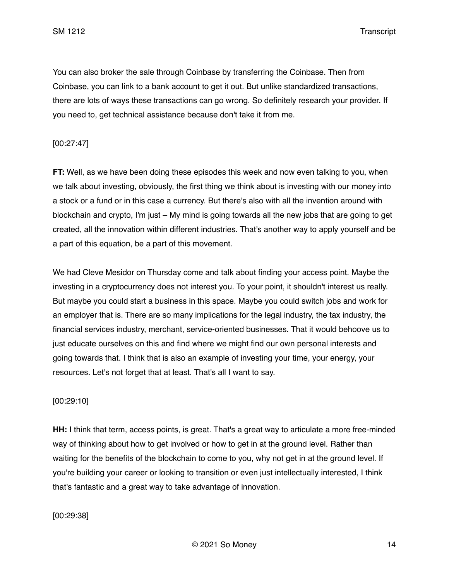You can also broker the sale through Coinbase by transferring the Coinbase. Then from Coinbase, you can link to a bank account to get it out. But unlike standardized transactions, there are lots of ways these transactions can go wrong. So definitely research your provider. If you need to, get technical assistance because don't take it from me.

### [00:27:47]

**FT:** Well, as we have been doing these episodes this week and now even talking to you, when we talk about investing, obviously, the first thing we think about is investing with our money into a stock or a fund or in this case a currency. But there's also with all the invention around with blockchain and crypto, I'm just – My mind is going towards all the new jobs that are going to get created, all the innovation within different industries. That's another way to apply yourself and be a part of this equation, be a part of this movement.

We had Cleve Mesidor on Thursday come and talk about finding your access point. Maybe the investing in a cryptocurrency does not interest you. To your point, it shouldn't interest us really. But maybe you could start a business in this space. Maybe you could switch jobs and work for an employer that is. There are so many implications for the legal industry, the tax industry, the financial services industry, merchant, service-oriented businesses. That it would behoove us to just educate ourselves on this and find where we might find our own personal interests and going towards that. I think that is also an example of investing your time, your energy, your resources. Let's not forget that at least. That's all I want to say.

#### [00:29:10]

**HH:** I think that term, access points, is great. That's a great way to articulate a more free-minded way of thinking about how to get involved or how to get in at the ground level. Rather than waiting for the benefits of the blockchain to come to you, why not get in at the ground level. If you're building your career or looking to transition or even just intellectually interested, I think that's fantastic and a great way to take advantage of innovation.

## [00:29:38]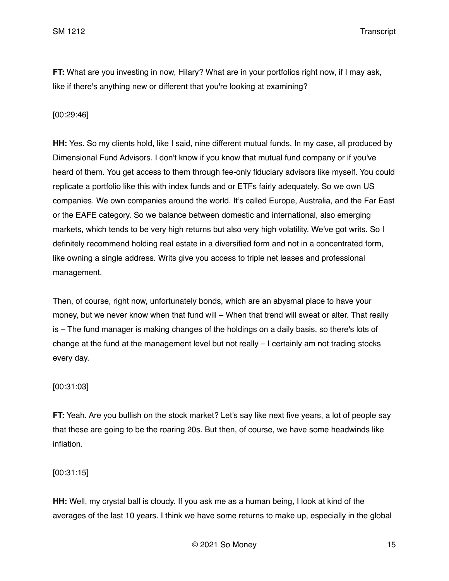**FT:** What are you investing in now, Hilary? What are in your portfolios right now, if I may ask, like if there's anything new or different that you're looking at examining?

### [00:29:46]

**HH:** Yes. So my clients hold, like I said, nine different mutual funds. In my case, all produced by Dimensional Fund Advisors. I don't know if you know that mutual fund company or if you've heard of them. You get access to them through fee-only fiduciary advisors like myself. You could replicate a portfolio like this with index funds and or ETFs fairly adequately. So we own US companies. We own companies around the world. It's called Europe, Australia, and the Far East or the EAFE category. So we balance between domestic and international, also emerging markets, which tends to be very high returns but also very high volatility. We've got writs. So I definitely recommend holding real estate in a diversified form and not in a concentrated form, like owning a single address. Writs give you access to triple net leases and professional management.

Then, of course, right now, unfortunately bonds, which are an abysmal place to have your money, but we never know when that fund will – When that trend will sweat or alter. That really is – The fund manager is making changes of the holdings on a daily basis, so there's lots of change at the fund at the management level but not really – I certainly am not trading stocks every day.

#### [00:31:03]

**FT:** Yeah. Are you bullish on the stock market? Let's say like next five years, a lot of people say that these are going to be the roaring 20s. But then, of course, we have some headwinds like inflation.

#### [00:31:15]

**HH:** Well, my crystal ball is cloudy. If you ask me as a human being, I look at kind of the averages of the last 10 years. I think we have some returns to make up, especially in the global

© 2021 So Money 15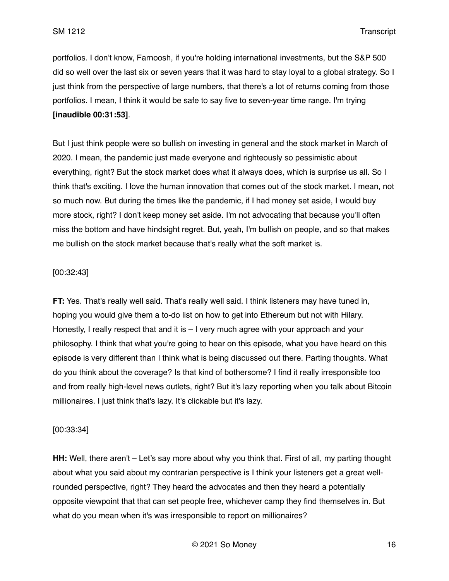portfolios. I don't know, Farnoosh, if you're holding international investments, but the S&P 500 did so well over the last six or seven years that it was hard to stay loyal to a global strategy. So I just think from the perspective of large numbers, that there's a lot of returns coming from those portfolios. I mean, I think it would be safe to say five to seven-year time range. I'm trying **[inaudible 00:31:53]**.

But I just think people were so bullish on investing in general and the stock market in March of 2020. I mean, the pandemic just made everyone and righteously so pessimistic about everything, right? But the stock market does what it always does, which is surprise us all. So I think that's exciting. I love the human innovation that comes out of the stock market. I mean, not so much now. But during the times like the pandemic, if I had money set aside, I would buy more stock, right? I don't keep money set aside. I'm not advocating that because you'll often miss the bottom and have hindsight regret. But, yeah, I'm bullish on people, and so that makes me bullish on the stock market because that's really what the soft market is.

## [00:32:43]

**FT:** Yes. That's really well said. That's really well said. I think listeners may have tuned in, hoping you would give them a to-do list on how to get into Ethereum but not with Hilary. Honestly, I really respect that and it is  $-1$  very much agree with your approach and your philosophy. I think that what you're going to hear on this episode, what you have heard on this episode is very different than I think what is being discussed out there. Parting thoughts. What do you think about the coverage? Is that kind of bothersome? I find it really irresponsible too and from really high-level news outlets, right? But it's lazy reporting when you talk about Bitcoin millionaires. I just think that's lazy. It's clickable but it's lazy.

#### [00:33:34]

**HH:** Well, there aren't – Let's say more about why you think that. First of all, my parting thought about what you said about my contrarian perspective is I think your listeners get a great wellrounded perspective, right? They heard the advocates and then they heard a potentially opposite viewpoint that that can set people free, whichever camp they find themselves in. But what do you mean when it's was irresponsible to report on millionaires?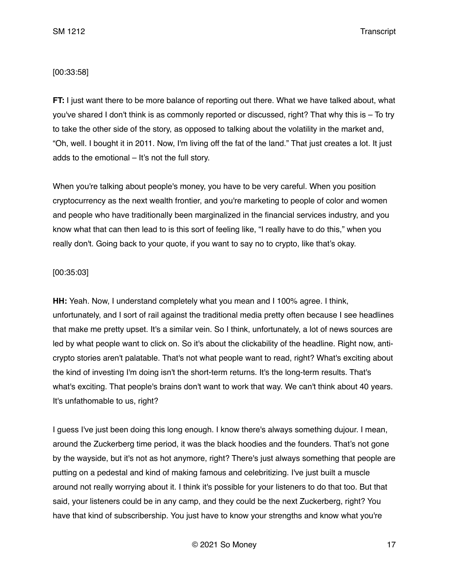### [00:33:58]

**FT:** I just want there to be more balance of reporting out there. What we have talked about, what you've shared I don't think is as commonly reported or discussed, right? That why this is – To try to take the other side of the story, as opposed to talking about the volatility in the market and, "Oh, well. I bought it in 2011. Now, I'm living off the fat of the land." That just creates a lot. It just adds to the emotional – It's not the full story.

When you're talking about people's money, you have to be very careful. When you position cryptocurrency as the next wealth frontier, and you're marketing to people of color and women and people who have traditionally been marginalized in the financial services industry, and you know what that can then lead to is this sort of feeling like, "I really have to do this," when you really don't. Going back to your quote, if you want to say no to crypto, like that's okay.

## [00:35:03]

**HH:** Yeah. Now, I understand completely what you mean and I 100% agree. I think, unfortunately, and I sort of rail against the traditional media pretty often because I see headlines that make me pretty upset. It's a similar vein. So I think, unfortunately, a lot of news sources are led by what people want to click on. So it's about the clickability of the headline. Right now, anticrypto stories aren't palatable. That's not what people want to read, right? What's exciting about the kind of investing I'm doing isn't the short-term returns. It's the long-term results. That's what's exciting. That people's brains don't want to work that way. We can't think about 40 years. It's unfathomable to us, right?

I guess I've just been doing this long enough. I know there's always something dujour. I mean, around the Zuckerberg time period, it was the black hoodies and the founders. That's not gone by the wayside, but it's not as hot anymore, right? There's just always something that people are putting on a pedestal and kind of making famous and celebritizing. I've just built a muscle around not really worrying about it. I think it's possible for your listeners to do that too. But that said, your listeners could be in any camp, and they could be the next Zuckerberg, right? You have that kind of subscribership. You just have to know your strengths and know what you're